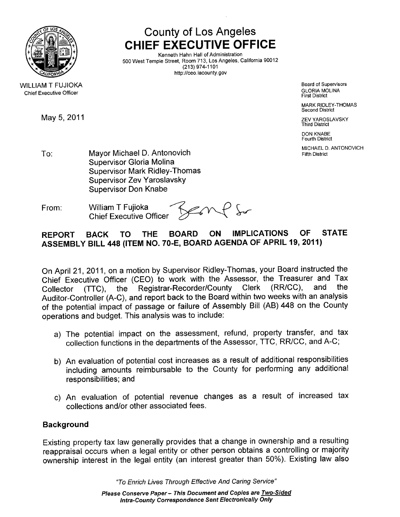

WILLIAM T FUJIOKA **Chief Executive Officer** 

May 5, 2011 **Development Contract Contract Contract Contract Contract Contract Contract Contract Contract Contract Contract Contract Contract Contract Contract Contract Contract Contract Contract Contract Contract Contract** 

County of Los Angeles CHIEF EXECUTIVE OFFICE

Kenneth Hahn Hall of Administration 500 West Temple Street, Room 713, Los Angeles, California 90012 (213) 974-1101 http://ceo.lacounty.gov

> Board of Supervisors GLORIA MOLINA First District

MARK RIDLEY-THOMAS Second District

Third District

DON KNABE Fourth District

MICHAEL D. ANTONOVICH

- To: Mayor Michael D. Antonovich **Example 2018** Fifth District Supervisor Gloria Molina Supervisor Mark Ridley-Thomas Supervisor Zev Yaroslavsky Supervisor Don Knabe
- From: William T Fujioka<br>Chief Executive Officer<br> $\bigotimes_{\mathcal{A}} \bigwedge$ **Chief Executive Officer**

# REPORT BACK TO THE BOARD ON IMPLICATIONS OF STATE ASSEMBLY BILL 448 (ITEM NO. 70-E, BOARD AGENDA OF APRIL 19, 2011)

On April 21,2011, on a motion by Supervisor Ridley-Thomas, your Board instructed the Chief Executive Officer (CEO) to work with the Assessor, the Treasurer and Tax<br>Collector (TTC), the Registrar-Recorder/County Clerk (RR/CC), and the Collector (TTC), the Registrar-Recorder/County Clerk (RR/CC), and the Auditor-Controller (A-C), and report back to the Board within two weeks with an analysis of the potential impact of passage or failure of Assembly Bill (AB) 448 on the County operations and budget. This analysis was to include:

- a) The potential impact on the assessment, refund, property transfer, and tax collection functions in the departments of the Assessor, TTC, RR/CC, and A-C;
- b) An evaluation of potential cost increases as a result of additional responsibilties including amounts reimbursable to the County for performing any additional responsibilities; and
- c) An evaluation of potential revenue changes as a result of increased tax collections and/or other associated fees.

## Background

Existing property tax law generally provides that a change in ownership and a resulting reappraisal occurs when a legal entity or other person obtains a controlling or majority ownership interest in the legal entity (an interest greater than 50%). Existing law also

"To Enrich Lives Through Effective And Caring Service"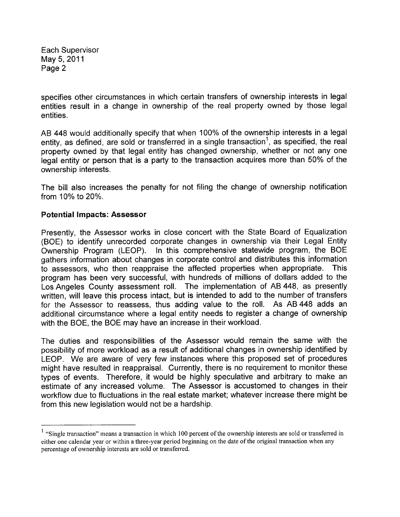Each Supervisor May 5,2011 Page 2

specifies other circumstances in which certain transfers of ownership interests in legal entities result in a change in ownership of the real property owned by those legal entities.

AB 448 would additionally specify that when 100% of the ownership interests in a legal entity, as defined, are sold or transferred in a single transaction<sup>1</sup>, as specified, the real property owned by that legal entity has changed ownership, whether or not any one legal entity or person that is a party to the transaction acquires more than 50% of the ownership interests.

The bill also increases the penalty for not filing the change of ownership notification from 10% to 20%.

#### Potential Impacts: Assessor

Presently, the Assessor works in close concert with the State Board of Equalization (BOE) to identify unrecorded corporate changes in ownership via their Legal Entity Ownership Program (LEOP). In this comprehensive statewide program, the BOE gathers information about changes in corporate control and distributes this information to assessors, who then reappraise the affected properties when appropriate. This program has been very successful, with hundreds of millions of dollars added to the Los Angeles County assessment roll. The implementation of AB 448, as presently written, will leave this process intact, but is intended to add to the number of transfers for the Assessor to reassess, thus adding value to the roll. As AB 448 adds an additional circumstance where a legal entity needs to register a change of ownership with the BOE, the BOE may have an increase in their workload.

The duties and responsibilities of the Assessor would remain the same with the possibility of more workload as a result of additional changes in ownership identified by LEOP. We are aware of very few instances where this proposed set of procedures might have resulted in reappraisal. Currently, there is no requirement to monitor these types of events. Therefore, it would be highly speculative and arbitrary to make an estimate of any increased volume. The Assessor is accustomed to changes in their workflow due to fluctuations in the real estate market; whatever increase there might be from this new legislation would not be a hardship.

<sup>&</sup>lt;sup>1</sup> "Single transaction" means a transaction in which 100 percent of the ownership interests are sold or transferred in either one calendar year or within a three-year period begining on the date of the original transaction when any percentage of ownership interests are sold or transferred.